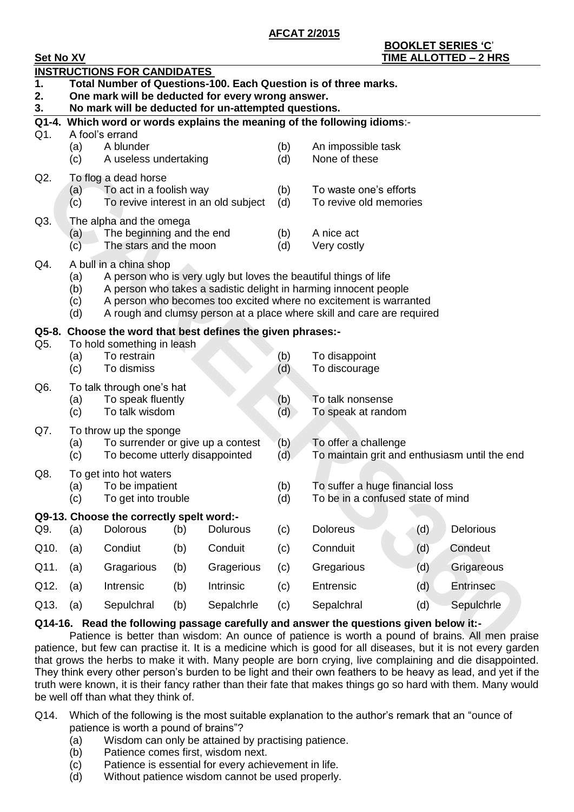**AFCAT 2/2015**

| <b>Set No XV</b> |                                                                                             |                                                             |     |                 |            | <b>TIME ALLOTTED - 2 HRS</b>                                                                                                                                                             |     |                  |  |  |
|------------------|---------------------------------------------------------------------------------------------|-------------------------------------------------------------|-----|-----------------|------------|------------------------------------------------------------------------------------------------------------------------------------------------------------------------------------------|-----|------------------|--|--|
|                  |                                                                                             | <b>INSTRUCTIONS FOR CANDIDATES</b>                          |     |                 |            |                                                                                                                                                                                          |     |                  |  |  |
| 1.               | Total Number of Questions-100. Each Question is of three marks.                             |                                                             |     |                 |            |                                                                                                                                                                                          |     |                  |  |  |
| 2.               | One mark will be deducted for every wrong answer.                                           |                                                             |     |                 |            |                                                                                                                                                                                          |     |                  |  |  |
| 3.               | No mark will be deducted for un-attempted questions.                                        |                                                             |     |                 |            |                                                                                                                                                                                          |     |                  |  |  |
| Q1.              | Q1-4. Which word or words explains the meaning of the following idioms:-<br>A fool's errand |                                                             |     |                 |            |                                                                                                                                                                                          |     |                  |  |  |
|                  | (a)                                                                                         | A blunder                                                   |     |                 | (b)        | An impossible task                                                                                                                                                                       |     |                  |  |  |
|                  | (c)                                                                                         | A useless undertaking                                       |     |                 | (d)        | None of these                                                                                                                                                                            |     |                  |  |  |
|                  |                                                                                             |                                                             |     |                 |            |                                                                                                                                                                                          |     |                  |  |  |
| Q2.              | (a)                                                                                         | To flog a dead horse<br>To act in a foolish way             |     |                 | (b)        | To waste one's efforts                                                                                                                                                                   |     |                  |  |  |
|                  | (c)                                                                                         | To revive interest in an old subject                        |     |                 | (d)        | To revive old memories                                                                                                                                                                   |     |                  |  |  |
| Q3.              |                                                                                             | The alpha and the omega                                     |     |                 |            |                                                                                                                                                                                          |     |                  |  |  |
|                  | (a)                                                                                         | The beginning and the end                                   |     |                 | (b)        | A nice act                                                                                                                                                                               |     |                  |  |  |
|                  | (c)                                                                                         | The stars and the moon                                      |     |                 | (d)        | Very costly                                                                                                                                                                              |     |                  |  |  |
| Q4.              |                                                                                             | A bull in a china shop                                      |     |                 |            |                                                                                                                                                                                          |     |                  |  |  |
|                  | (a)                                                                                         |                                                             |     |                 |            | A person who is very ugly but loves the beautiful things of life                                                                                                                         |     |                  |  |  |
|                  | (b)                                                                                         |                                                             |     |                 |            | A person who takes a sadistic delight in harming innocent people                                                                                                                         |     |                  |  |  |
|                  | (c)                                                                                         |                                                             |     |                 |            | A person who becomes too excited where no excitement is warranted                                                                                                                        |     |                  |  |  |
|                  | (d)                                                                                         |                                                             |     |                 |            | A rough and clumsy person at a place where skill and care are required                                                                                                                   |     |                  |  |  |
|                  |                                                                                             | Q5-8. Choose the word that best defines the given phrases:- |     |                 |            |                                                                                                                                                                                          |     |                  |  |  |
| Q5.              |                                                                                             | To hold something in leash                                  |     |                 |            |                                                                                                                                                                                          |     |                  |  |  |
|                  | (a)<br>(c)                                                                                  | To restrain<br>To dismiss                                   |     |                 | (b)<br>(d) | To disappoint<br>To discourage                                                                                                                                                           |     |                  |  |  |
|                  |                                                                                             |                                                             |     |                 |            |                                                                                                                                                                                          |     |                  |  |  |
| Q <sub>6</sub>   | (a)                                                                                         | To talk through one's hat<br>To speak fluently              |     |                 | (b)        | To talk nonsense                                                                                                                                                                         |     |                  |  |  |
|                  | (c)                                                                                         | To talk wisdom                                              |     |                 | (d)        | To speak at random                                                                                                                                                                       |     |                  |  |  |
| Q7.              |                                                                                             | To throw up the sponge                                      |     |                 |            |                                                                                                                                                                                          |     |                  |  |  |
|                  | (a)                                                                                         | To surrender or give up a contest                           |     |                 | (b)        | To offer a challenge                                                                                                                                                                     |     |                  |  |  |
|                  | (c)                                                                                         | To become utterly disappointed                              |     |                 | (d)        | To maintain grit and enthusiasm until the end                                                                                                                                            |     |                  |  |  |
| Q8.              |                                                                                             | To get into hot waters                                      |     |                 |            |                                                                                                                                                                                          |     |                  |  |  |
|                  |                                                                                             | (a) To be impatient                                         |     |                 | (b)        | To suffer a huge financial loss                                                                                                                                                          |     |                  |  |  |
|                  | (c)                                                                                         | To get into trouble                                         |     |                 | (d)        | To be in a confused state of mind                                                                                                                                                        |     |                  |  |  |
|                  |                                                                                             | Q9-13. Choose the correctly spelt word:-                    |     |                 |            |                                                                                                                                                                                          |     |                  |  |  |
| Q9.              | (a)                                                                                         | <b>Dolorous</b>                                             | (b) | <b>Dolurous</b> | (c)        | <b>Doloreus</b>                                                                                                                                                                          | (d) | <b>Delorious</b> |  |  |
| Q10.             | (a)                                                                                         | Condiut                                                     | (b) | Conduit         | (c)        | Connduit                                                                                                                                                                                 | (d) | Condeut          |  |  |
| Q11.             | (a)                                                                                         | Gragarious                                                  | (b) | Gragerious      | (c)        | Gregarious                                                                                                                                                                               | (d) | Grigareous       |  |  |
| Q12.             | (a)                                                                                         | Intrensic                                                   | (b) | Intrinsic       | (c)        | Entrensic                                                                                                                                                                                | (d) | <b>Entrinsec</b> |  |  |
| Q13.             | (a)                                                                                         | Sepulchral                                                  | (b) | Sepalchrle      | (c)        | Sepalchral                                                                                                                                                                               | (d) | Sepulchrle       |  |  |
|                  |                                                                                             |                                                             |     |                 |            | Q14-16. Read the following passage carefully and answer the questions given below it:-<br>Patience is better than wisdom: An ounce of patience is worth a pound of brains. All men prais |     |                  |  |  |
|                  |                                                                                             |                                                             |     |                 |            | patience, but few can practise it. It is a medicine which is good for all diseases, but it is not every garde                                                                            |     |                  |  |  |

## **Q14-16. Read the following passage carefully and answer the questions given below it:-**

Patience is better than wisdom: An ounce of patience is worth a pound of brains. All men praise patience, but few can practise it. It is a medicine which is good for all diseases, but it is not every garden that grows the herbs to make it with. Many people are born crying, live complaining and die disappointed. They think every other person's burden to be light and their own feathers to be heavy as lead, and yet if the truth were known, it is their fancy rather than their fate that makes things go so hard with them. Many would be well off than what they think of.

- Q14. Which of the following is the most suitable explanation to the author's remark that an "ounce of patience is worth a pound of brains"?
	- (a) Wisdom can only be attained by practising patience.
	- (b) Patience comes first, wisdom next.
	- (c) Patience is essential for every achievement in life.
	- (d) Without patience wisdom cannot be used properly.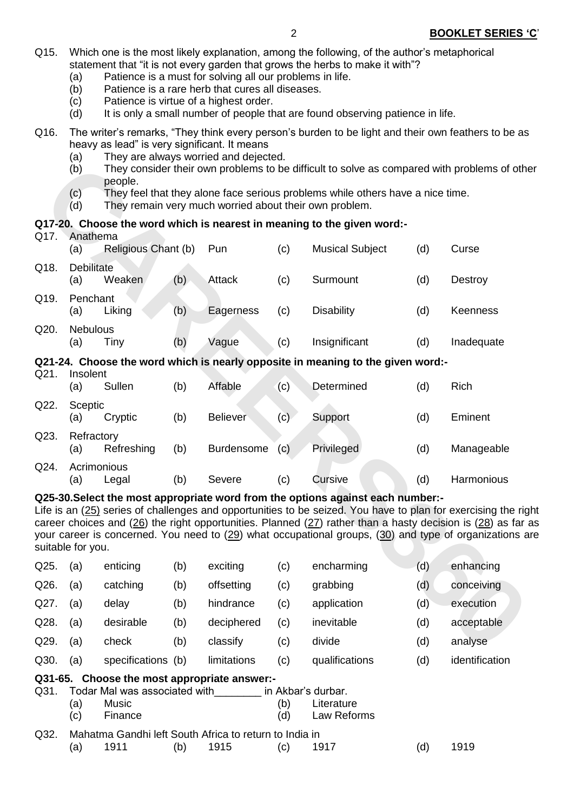- Q15. Which one is the most likely explanation, among the following, of the author's metaphorical statement that "it is not every garden that grows the herbs to make it with"?
	- (a) Patience is a must for solving all our problems in life.
	- (b) Patience is a rare herb that cures all diseases.
	- (c) Patience is virtue of a highest order.
	- (d) It is only a small number of people that are found observing patience in life.
- Q16. The writer's remarks, "They think every person's burden to be light and their own feathers to be as heavy as lead" is very significant. It means
	- (a) They are always worried and dejected.
	- (b) They consider their own problems to be difficult to solve as compared with problems of other people.
	- (c) They feel that they alone face serious problems while others have a nice time.
	- (d) They remain very much worried about their own problem.

## **Q17-20. Choose the word which is nearest in meaning to the given word:-**

|                                                                                                                                                                                                                                                                                                                                                                                                                                                  | $\mathcal{L}$<br>(b)     | They consider their own problems to be difficult to solve as compared with problems of othe<br>people.                                   |     |                 |     |                                                                                 |     |            |  |  |  |
|--------------------------------------------------------------------------------------------------------------------------------------------------------------------------------------------------------------------------------------------------------------------------------------------------------------------------------------------------------------------------------------------------------------------------------------------------|--------------------------|------------------------------------------------------------------------------------------------------------------------------------------|-----|-----------------|-----|---------------------------------------------------------------------------------|-----|------------|--|--|--|
|                                                                                                                                                                                                                                                                                                                                                                                                                                                  | (c)<br>(d)               | They feel that they alone face serious problems while others have a nice time.<br>They remain very much worried about their own problem. |     |                 |     |                                                                                 |     |            |  |  |  |
|                                                                                                                                                                                                                                                                                                                                                                                                                                                  |                          |                                                                                                                                          |     |                 |     | Q17-20. Choose the word which is nearest in meaning to the given word:-         |     |            |  |  |  |
| Q17.                                                                                                                                                                                                                                                                                                                                                                                                                                             | Anathema<br>(a)          | Religious Chant (b)                                                                                                                      |     | Pun             | (c) | <b>Musical Subject</b>                                                          | (d) | Curse      |  |  |  |
| Q18.                                                                                                                                                                                                                                                                                                                                                                                                                                             | <b>Debilitate</b><br>(a) | Weaken                                                                                                                                   | (b) | <b>Attack</b>   | (c) | Surmount                                                                        | (d) | Destroy    |  |  |  |
| Q19.                                                                                                                                                                                                                                                                                                                                                                                                                                             | Penchant<br>(a)          | Liking                                                                                                                                   | (b) | Eagerness       | (c) | <b>Disability</b>                                                               | (d) | Keenness   |  |  |  |
| Q20.                                                                                                                                                                                                                                                                                                                                                                                                                                             | <b>Nebulous</b><br>(a)   | Tiny                                                                                                                                     | (b) | Vague           | (c) | Insignificant                                                                   | (d) | Inadequate |  |  |  |
|                                                                                                                                                                                                                                                                                                                                                                                                                                                  |                          |                                                                                                                                          |     |                 |     | Q21-24. Choose the word which is nearly opposite in meaning to the given word:- |     |            |  |  |  |
| Q21.                                                                                                                                                                                                                                                                                                                                                                                                                                             | Insolent                 |                                                                                                                                          |     |                 |     |                                                                                 |     |            |  |  |  |
|                                                                                                                                                                                                                                                                                                                                                                                                                                                  | (a)                      | Sullen                                                                                                                                   | (b) | Affable         | (c) | Determined                                                                      | (d) | Rich       |  |  |  |
| Q22.                                                                                                                                                                                                                                                                                                                                                                                                                                             | Sceptic<br>(a)           | Cryptic                                                                                                                                  | (b) | <b>Believer</b> | (c) | Support                                                                         | (d) | Eminent    |  |  |  |
| Q23.                                                                                                                                                                                                                                                                                                                                                                                                                                             | Refractory<br>(a)        | Refreshing                                                                                                                               | (b) | Burdensome      | (c) | Privileged                                                                      | (d) | Manageable |  |  |  |
| Q24.                                                                                                                                                                                                                                                                                                                                                                                                                                             | Acrimonious<br>(a)       | Legal                                                                                                                                    | (b) | Severe          | (c) | Cursive                                                                         | (d) | Harmonious |  |  |  |
| Q25-30. Select the most appropriate word from the options against each number:-<br>Life is an (25) series of challenges and opportunities to be seized. You have to plan for exercising the rig<br>career choices and (26) the right opportunities. Planned (27) rather than a hasty decision is (28) as far a<br>your career is concerned. You need to $(29)$ what occupational groups, $(30)$ and type of organizations a<br>suitable for you. |                          |                                                                                                                                          |     |                 |     |                                                                                 |     |            |  |  |  |
| Q25.                                                                                                                                                                                                                                                                                                                                                                                                                                             | (a)                      | enticing                                                                                                                                 | (b) | exciting        | (c) | encharming                                                                      | (d) | enhancing  |  |  |  |
| Q26.                                                                                                                                                                                                                                                                                                                                                                                                                                             | (a)                      | catching                                                                                                                                 | (b) | offsetting      | (c) | grabbing                                                                        | (d) | conceiving |  |  |  |
| Q27.                                                                                                                                                                                                                                                                                                                                                                                                                                             | (a)                      | delay                                                                                                                                    | (b) | hindrance       | (c) | application                                                                     | (d) | execution  |  |  |  |
| Q28.                                                                                                                                                                                                                                                                                                                                                                                                                                             | (a)                      | desirable                                                                                                                                | (b) | deciphered      | (c) | inevitable                                                                      | (d) | acceptable |  |  |  |
| Q29.                                                                                                                                                                                                                                                                                                                                                                                                                                             | (a)                      | check                                                                                                                                    | (b) | classify        | (c) | divide                                                                          | (d) | analyse    |  |  |  |
|                                                                                                                                                                                                                                                                                                                                                                                                                                                  |                          |                                                                                                                                          |     |                 |     |                                                                                 |     |            |  |  |  |

## (a) Legal (b) Severe (c) Cursive (d) Harmonious **Q25-30.Select the most appropriate word from the options against each number:-**

| Q25.    | (a) | enticing                                               | (b) | exciting    | (c) | encharming         | (d) | enhancing      |
|---------|-----|--------------------------------------------------------|-----|-------------|-----|--------------------|-----|----------------|
| Q26.    | (a) | catching                                               | (b) | offsetting  | (c) | grabbing           | (d) | conceiving     |
| Q27.    | (a) | delay                                                  | (b) | hindrance   | (c) | application        | (d) | execution      |
| Q28.    | (a) | desirable                                              | (b) | deciphered  | (c) | inevitable         | (d) | acceptable     |
| Q29.    | (a) | check                                                  | (b) | classify    | (c) | divide             | (d) | analyse        |
| Q30.    | (a) | specifications (b)                                     |     | limitations | (c) | qualifications     | (d) | identification |
| Q31-65. |     | Choose the most appropriate answer:-                   |     |             |     |                    |     |                |
| Q31.    |     | Todar Mal was associated with                          |     |             |     | in Akbar's durbar. |     |                |
|         | (a) | Music                                                  |     |             | (b) | Literature         |     |                |
|         | (c) | Finance                                                |     |             | (d) | Law Reforms        |     |                |
| Q32.    |     | Mahatma Gandhi left South Africa to return to India in |     |             |     |                    |     |                |
|         | (a) | 1911                                                   | (b) | 1915        | (c) | 1917               | (d) | 1919           |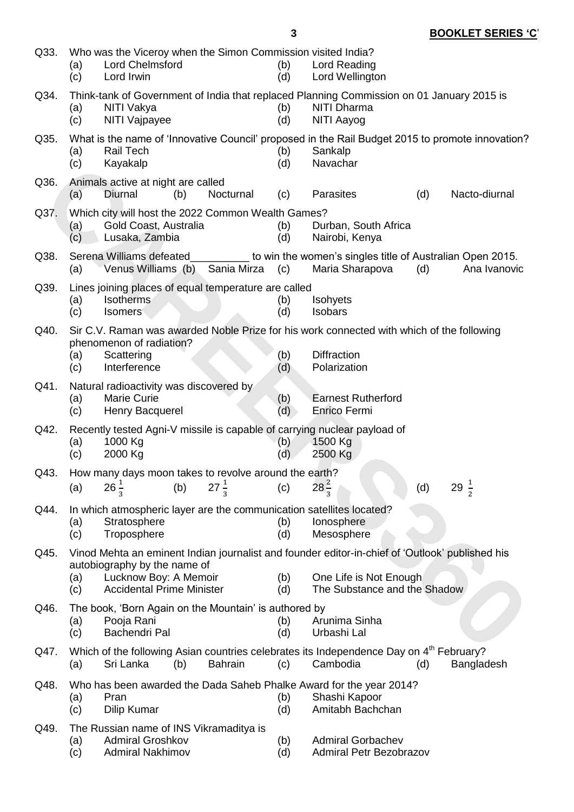| Q33. | Who was the Viceroy when the Simon Commission visited India?<br><b>Lord Chelmsford</b><br>(a)<br>(c)<br>Lord Irwin                                                                       | (b)<br>Lord Reading<br>(d)<br>Lord Wellington                                                                                                                           |  |  |  |  |  |  |  |  |
|------|------------------------------------------------------------------------------------------------------------------------------------------------------------------------------------------|-------------------------------------------------------------------------------------------------------------------------------------------------------------------------|--|--|--|--|--|--|--|--|
| Q34. | Think-tank of Government of India that replaced Planning Commission on 01 January 2015 is<br><b>NITI Dharma</b><br>NITI Vakya<br>(a)<br>(b)<br>(c)<br>NITI Vajpayee<br>(d)<br>NITI Aayog |                                                                                                                                                                         |  |  |  |  |  |  |  |  |
| Q35. | <b>Rail Tech</b><br>(a)<br>(c)<br>Kayakalp                                                                                                                                               | What is the name of 'Innovative Council' proposed in the Rail Budget 2015 to promote innovation?<br>Sankalp<br>(b)<br>Navachar<br>(d)                                   |  |  |  |  |  |  |  |  |
| Q36. | Animals active at night are called<br>Diurnal<br>(b)<br>Nocturnal<br>(a)                                                                                                                 | Parasites<br>Nacto-diurnal<br>(d)<br>(c)                                                                                                                                |  |  |  |  |  |  |  |  |
| Q37. | Which city will host the 2022 Common Wealth Games?<br>Gold Coast, Australia<br>(a)<br>Lusaka, Zambia<br>(c)                                                                              | Durban, South Africa<br>(b)<br>(d)<br>Nairobi, Kenya                                                                                                                    |  |  |  |  |  |  |  |  |
| Q38. | Serena Williams defeated<br>Venus Williams (b) Sania Mirza<br>(a)                                                                                                                        | to win the women's singles title of Australian Open 2015.<br>(c)<br>Maria Sharapova<br>(d)<br>Ana Ivanovic                                                              |  |  |  |  |  |  |  |  |
| Q39. | Lines joining places of equal temperature are called<br><b>Isotherms</b><br>(a)<br>(c)<br><b>Isomers</b>                                                                                 | Isohyets<br>(b)<br>(d)<br><b>Isobars</b>                                                                                                                                |  |  |  |  |  |  |  |  |
| Q40. | phenomenon of radiation?<br>Scattering<br>(a)<br>Interference<br>(c)                                                                                                                     | Sir C.V. Raman was awarded Noble Prize for his work connected with which of the following<br><b>Diffraction</b><br>(b)<br>Polarization<br>(d)                           |  |  |  |  |  |  |  |  |
| Q41. | Natural radioactivity was discovered by<br><b>Marie Curie</b><br>(a)<br>(c)<br>Henry Bacquerel                                                                                           | <b>Earnest Rutherford</b><br>(b)<br>(d)<br>Enrico Fermi                                                                                                                 |  |  |  |  |  |  |  |  |
| Q42. | Recently tested Agni-V missile is capable of carrying nuclear payload of<br>1000 Kg<br>(a)<br>2000 Kg<br>(c)                                                                             | 1500 Kg<br>(b)<br>(d)<br>2500 Kg                                                                                                                                        |  |  |  |  |  |  |  |  |
| Q43. | How many days moon takes to revolve around the earth?<br>$26\frac{1}{3}$<br>$27\frac{1}{3}$<br>(b)<br>(a)                                                                                | $28\frac{2}{3}$<br>29 $\frac{1}{2}$<br>(c)<br>(d)                                                                                                                       |  |  |  |  |  |  |  |  |
| Q44. | In which atmospheric layer are the communication satellites located?<br>Stratosphere<br>(a)<br>(c)<br>Troposphere                                                                        | (b)<br>lonosphere<br>(d)<br>Mesosphere                                                                                                                                  |  |  |  |  |  |  |  |  |
| Q45. | autobiography by the name of<br>Lucknow Boy: A Memoir<br>(a)<br><b>Accidental Prime Minister</b><br>(c)                                                                                  | Vinod Mehta an eminent Indian journalist and founder editor-in-chief of 'Outlook' published his<br>(b)<br>One Life is Not Enough<br>The Substance and the Shadow<br>(d) |  |  |  |  |  |  |  |  |
| Q46. | The book, 'Born Again on the Mountain' is authored by<br>Pooja Rani<br>(a)<br>Bachendri Pal<br>(c)                                                                                       | Arunima Sinha<br>(b)<br>(d)<br>Urbashi Lal                                                                                                                              |  |  |  |  |  |  |  |  |
| Q47. | Sri Lanka<br>(b)<br><b>Bahrain</b><br>(a)                                                                                                                                                | Which of the following Asian countries celebrates its Independence Day on 4 <sup>th</sup> February?<br>Cambodia<br>(c)<br>(d)<br>Bangladesh                             |  |  |  |  |  |  |  |  |
| Q48. | Who has been awarded the Dada Saheb Phalke Award for the year 2014?<br>Pran<br>(a)<br>(c)<br>Dilip Kumar                                                                                 | Shashi Kapoor<br>(b)<br>Amitabh Bachchan<br>(d)                                                                                                                         |  |  |  |  |  |  |  |  |
| Q49. | The Russian name of INS Vikramaditya is<br><b>Admiral Groshkov</b><br>(a)<br><b>Admiral Nakhimov</b><br>(c)                                                                              | <b>Admiral Gorbachev</b><br>(b)<br><b>Admiral Petr Bezobrazov</b><br>(d)                                                                                                |  |  |  |  |  |  |  |  |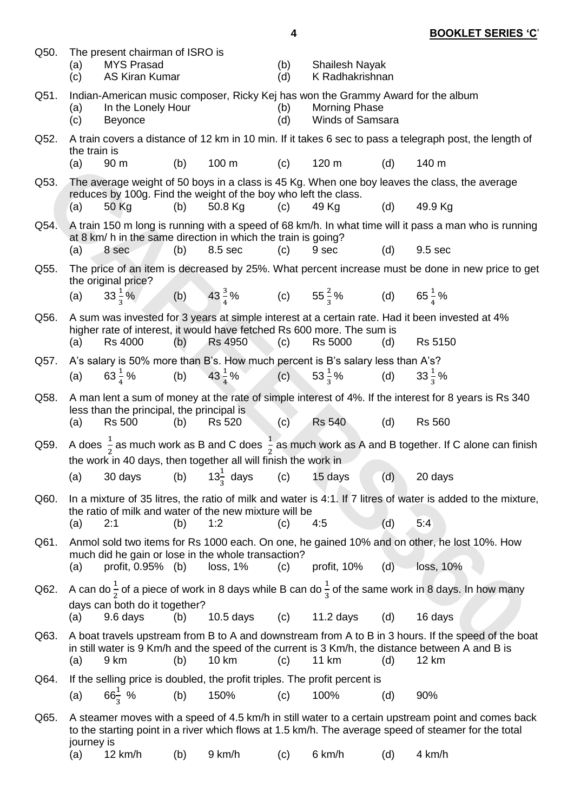| Q50. | (a)<br>(c)          | The present chairman of ISRO is<br><b>MYS Prasad</b><br><b>AS Kiran Kumar</b> |     |                                                                          | (b)<br>(d)                                     | <b>Shailesh Nayak</b><br>K Radhakrishnan                                                                                     |     |                                                                                                                                                                                                                  |
|------|---------------------|-------------------------------------------------------------------------------|-----|--------------------------------------------------------------------------|------------------------------------------------|------------------------------------------------------------------------------------------------------------------------------|-----|------------------------------------------------------------------------------------------------------------------------------------------------------------------------------------------------------------------|
| Q51. | (a)<br>(c)          | In the Lonely Hour<br><b>Beyonce</b>                                          |     |                                                                          | (b)<br>(d)                                     | Indian-American music composer, Ricky Kej has won the Grammy Award for the album<br><b>Morning Phase</b><br>Winds of Samsara |     |                                                                                                                                                                                                                  |
| Q52. |                     |                                                                               |     |                                                                          |                                                |                                                                                                                              |     | A train covers a distance of 12 km in 10 min. If it takes 6 sec to pass a telegraph post, the length of                                                                                                          |
|      | the train is<br>(a) | 90 m                                                                          | (b) | 100 m                                                                    | (c)                                            | 120 m                                                                                                                        | (d) | 140 m                                                                                                                                                                                                            |
| Q53. |                     |                                                                               |     | reduces by 100g. Find the weight of the boy who left the class.          |                                                |                                                                                                                              |     | The average weight of 50 boys in a class is 45 Kg. When one boy leaves the class, the average                                                                                                                    |
|      | (a)                 | 50 Kg                                                                         | (b) | 50.8 Kg                                                                  | (c)                                            | 49 Kg                                                                                                                        | (d) | 49.9 Kg                                                                                                                                                                                                          |
| Q54. |                     | 8 sec                                                                         | (b) | at 8 km/ h in the same direction in which the train is going?<br>8.5 sec | (c)                                            | 9 sec                                                                                                                        | (d) | A train 150 m long is running with a speed of 68 km/h. In what time will it pass a man who is running<br>9.5 sec                                                                                                 |
| Q55. | (a)                 |                                                                               |     |                                                                          |                                                |                                                                                                                              |     | The price of an item is decreased by 25%. What percent increase must be done in new price to get                                                                                                                 |
|      |                     | the original price?                                                           |     |                                                                          |                                                |                                                                                                                              |     |                                                                                                                                                                                                                  |
|      | (a)                 |                                                                               |     |                                                                          |                                                | $33\frac{1}{2}\%$ (b) $43\frac{3}{4}\%$ (c) $55\frac{2}{3}\%$ (d) $65\frac{1}{4}\%$                                          |     |                                                                                                                                                                                                                  |
| Q56. | (a)                 | <b>Rs 4000</b>                                                                | (b) | <b>Rs 4950</b>                                                           | (c)                                            | higher rate of interest, it would have fetched Rs 600 more. The sum is<br><b>Rs 5000</b>                                     | (d) | A sum was invested for 3 years at simple interest at a certain rate. Had it been invested at 4%<br>Rs 5150                                                                                                       |
| Q57. |                     |                                                                               |     |                                                                          |                                                | A's salary is 50% more than B's. How much percent is B's salary less than A's?                                               |     |                                                                                                                                                                                                                  |
|      | (a)                 |                                                                               |     |                                                                          |                                                | 63 $\frac{1}{4}$ % (b) 43 $\frac{1}{4}$ % (c) 53 $\frac{1}{3}$ % (d) 33 $\frac{1}{3}$ %                                      |     |                                                                                                                                                                                                                  |
| Q58. |                     |                                                                               |     |                                                                          |                                                |                                                                                                                              |     | A man lent a sum of money at the rate of simple interest of 4%. If the interest for 8 years is Rs 340                                                                                                            |
|      | (a)                 | less than the principal, the principal is<br><b>Rs 500</b>                    | (b) | <b>Rs 520</b>                                                            | $\left( \begin{matrix} 1 \end{matrix} \right)$ | <b>Rs 540</b>                                                                                                                | (d) | <b>Rs 560</b>                                                                                                                                                                                                    |
| Q59. |                     |                                                                               |     | the work in 40 days, then together all will finish the work in           |                                                |                                                                                                                              |     | A does $\frac{1}{2}$ as much work as B and C does $\frac{1}{2}$ as much work as A and B together. If C alone can finish                                                                                          |
|      | (a)                 |                                                                               |     | 30 days (b) $13\frac{1}{3}$ days (c) 15 days                             |                                                |                                                                                                                              | (d) | 20 days                                                                                                                                                                                                          |
| Q60. |                     |                                                                               |     |                                                                          |                                                |                                                                                                                              |     | In a mixture of 35 litres, the ratio of milk and water is 4:1. If 7 litres of water is added to the mixture,                                                                                                     |
|      | (a)                 | 2:1                                                                           | (b) | the ratio of milk and water of the new mixture will be<br>1:2            | (c)                                            | 4:5                                                                                                                          | (d) | 5:4                                                                                                                                                                                                              |
| Q61. |                     |                                                                               |     |                                                                          |                                                |                                                                                                                              |     | Anmol sold two items for Rs 1000 each. On one, he gained 10% and on other, he lost 10%. How                                                                                                                      |
|      |                     |                                                                               |     | much did he gain or lose in the whole transaction?                       |                                                |                                                                                                                              |     |                                                                                                                                                                                                                  |
|      | (a)                 | profit, 0.95% (b)                                                             |     | loss, 1%                                                                 | (c)                                            | profit, 10%                                                                                                                  | (d) | loss, 10%                                                                                                                                                                                                        |
| Q62. |                     | days can both do it together?                                                 |     |                                                                          |                                                |                                                                                                                              |     | A can do $\frac{1}{2}$ of a piece of work in 8 days while B can do $\frac{1}{2}$ of the same work in 8 days. In how many                                                                                         |
|      | (a)                 | 9.6 days                                                                      | (b) | $10.5$ days                                                              | (c)                                            | $11.2$ days                                                                                                                  | (d) | 16 days                                                                                                                                                                                                          |
| Q63. | (a)                 | 9 km                                                                          | (b) | 10 km                                                                    | (c)                                            | 11 km                                                                                                                        | (d) | A boat travels upstream from B to A and downstream from A to B in 3 hours. If the speed of the boat<br>in still water is 9 Km/h and the speed of the current is 3 Km/h, the distance between A and B is<br>12 km |
| Q64. |                     |                                                                               |     |                                                                          |                                                | If the selling price is doubled, the profit triples. The profit percent is                                                   |     |                                                                                                                                                                                                                  |
|      | (a)                 | $66\frac{1}{3}$ %                                                             | (b) | 150%                                                                     | (c)                                            | 100%                                                                                                                         | (d) | 90%                                                                                                                                                                                                              |
| Q65. | journey is          |                                                                               |     |                                                                          |                                                |                                                                                                                              |     | A steamer moves with a speed of 4.5 km/h in still water to a certain upstream point and comes back<br>to the starting point in a river which flows at 1.5 km/h. The average speed of steamer for the total       |
|      | (a)                 | 12 km/h                                                                       | (b) | 9 km/h                                                                   | (c)                                            | 6 km/h                                                                                                                       | (d) | 4 km/h                                                                                                                                                                                                           |

**4 BOOKLET SERIES 'C**'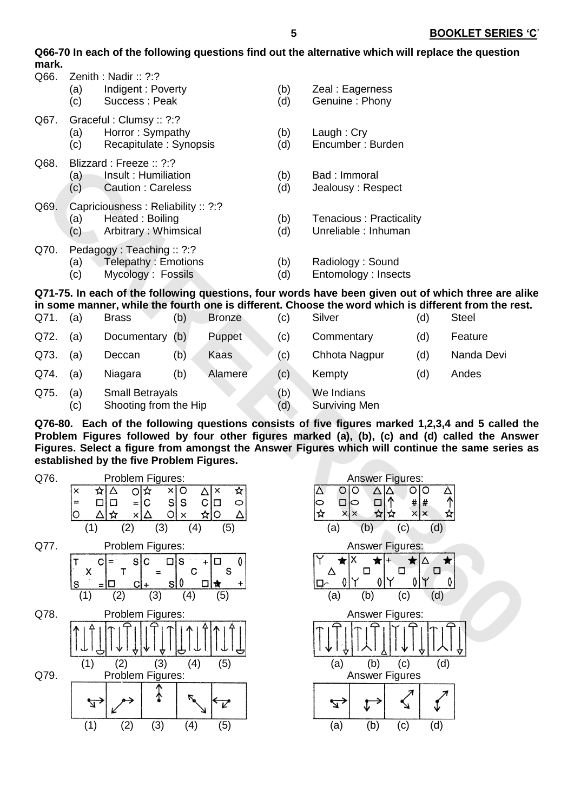**Q66-70 In each of the following questions find out the alternative which will replace the question mark.**

| Q66. | (a)<br>(c) | Zenith: Nadir: $?$ :?<br>Indigent: Poverty<br>Success: Peak                   | (b)<br>(d) | Zeal: Eagerness<br>Genuine: Phony               |
|------|------------|-------------------------------------------------------------------------------|------------|-------------------------------------------------|
| Q67. | (a)<br>(c) | Graceful: Clumsy: : ?:?<br>Horror: Sympathy<br>Recapitulate: Synopsis         | (b)<br>(d) | Laugh: Cry<br>Encumber: Burden                  |
| Q68. | (a)<br>(c) | Blizzard : Freeze :: $2:2$<br>Insult: Humiliation<br><b>Caution: Careless</b> | (b)<br>(d) | Bad: Immoral<br>Jealousy: Respect               |
| Q69. | (a)<br>(c) | Capriciousness: Reliability: ?:?<br>Heated: Boiling<br>Arbitrary: Whimsical   | (b)<br>(d) | Tenacious: Practicality<br>Unreliable : Inhuman |
| Q70. | (a)<br>(c) | Pedagogy: Teaching: ?:?<br>Telepathy : Emotions<br>Mycology: Fossils          | (b)<br>(d) | Radiology: Sound<br>Entomology: Insects         |

**Q71-75. In each of the following questions, four words have been given out of which three are alike in some manner, while the fourth one is different. Choose the word which is different from the rest.** 

| Q71. | (a)        | <b>Brass</b>                                    | (b) | <b>Bronze</b> | (c)        | Silver                             | (d) | <b>Steel</b> |
|------|------------|-------------------------------------------------|-----|---------------|------------|------------------------------------|-----|--------------|
| Q72. | (a)        | Documentary (b)                                 |     | Puppet        | (c)        | Commentary                         | (d) | Feature      |
| Q73. | (a)        | Deccan                                          | (b) | <b>Kaas</b>   | (c)        | Chhota Nagpur                      | (d) | Nanda Devi   |
| Q74. | (a)        | Niagara                                         | (b) | Alamere       | (c)        | Kempty                             | (d) | Andes        |
| Q75. | (a)<br>(c) | <b>Small Betrayals</b><br>Shooting from the Hip |     |               | (b)<br>(d) | We Indians<br><b>Surviving Men</b> |     |              |

**Q76-80. Each of the following questions consists of five figures marked 1,2,3,4 and 5 called the Problem Figures followed by four other figures marked (a), (b), (c) and (d) called the Answer Figures. Select a figure from amongst the Answer Figures which will continue the same series as established by the five Problem Figures.** 



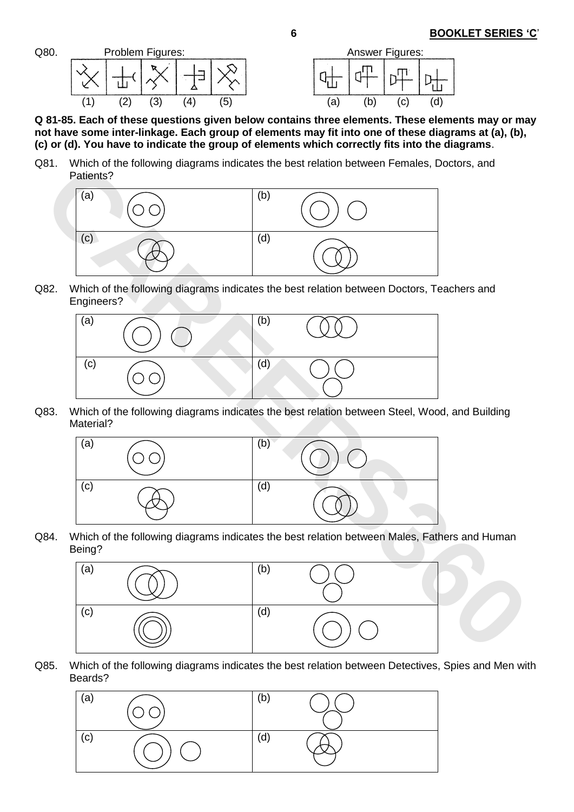

**Q 81-85. Each of these questions given below contains three elements. These elements may or may not have some inter-linkage. Each group of elements may fit into one of these diagrams at (a), (b), (c) or (d). You have to indicate the group of elements which correctly fits into the diagrams**.

Q81. Which of the following diagrams indicates the best relation between Females, Doctors, and Patients?



Q82. Which of the following diagrams indicates the best relation between Doctors, Teachers and Engineers?



Q83. Which of the following diagrams indicates the best relation between Steel, Wood, and Building Material?



Q84. Which of the following diagrams indicates the best relation between Males, Fathers and Human Being?



Q85. Which of the following diagrams indicates the best relation between Detectives, Spies and Men with Beards?

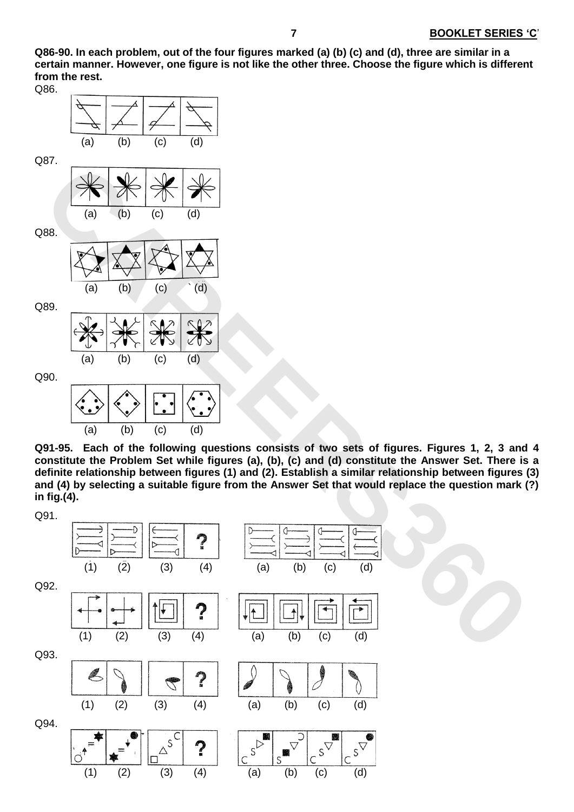**Q86-90. In each problem, out of the four figures marked (a) (b) (c) and (d), three are similar in a certain manner. However, one figure is not like the other three. Choose the figure which is different from the rest.**





(a) (b) (c) (d)

**Q91-95. Each of the following questions consists of two sets of figures. Figures 1, 2, 3 and 4 constitute the Problem Set while figures (a), (b), (c) and (d) constitute the Answer Set. There is a definite relationship between figures (1) and (2). Establish a similar relationship between figures (3) and (4) by selecting a suitable figure from the Answer Set that would replace the question mark (?) in fig.(4).**